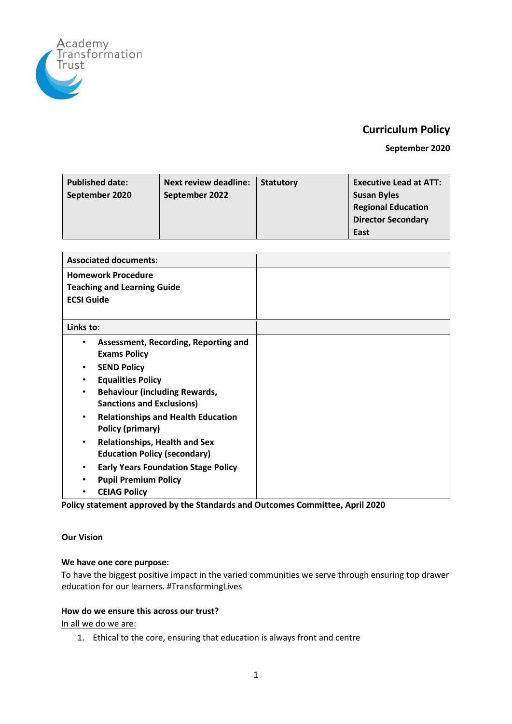

# **Curriculum Policy**

**September 2020** 

| <b>Published date:</b><br>September 2020 | <b>Next review deadline:</b><br>September 2022 | <b>Statutory</b> | <b>Executive Lead at ATT:</b><br><b>Susan Byles</b><br><b>Regional Education</b> |
|------------------------------------------|------------------------------------------------|------------------|----------------------------------------------------------------------------------|
|                                          |                                                |                  | <b>Director Secondary</b>                                                        |
|                                          |                                                |                  | East                                                                             |

| <b>Associated documents:</b>                                                                                                                                                                                                                                                                                                                                             |  |
|--------------------------------------------------------------------------------------------------------------------------------------------------------------------------------------------------------------------------------------------------------------------------------------------------------------------------------------------------------------------------|--|
| <b>Homework Procedure</b><br><b>Teaching and Learning Guide</b><br><b>ECSI Guide</b>                                                                                                                                                                                                                                                                                     |  |
| Links to:                                                                                                                                                                                                                                                                                                                                                                |  |
| Assessment, Recording, Reporting and<br>٠<br><b>Exams Policy</b><br><b>SEND Policy</b><br>$\bullet$<br><b>Equalities Policy</b><br>$\bullet$<br><b>Behaviour (including Rewards,</b><br>$\bullet$<br><b>Sanctions and Exclusions)</b><br><b>Relationships and Health Education</b><br>$\bullet$<br>Policy (primary)<br><b>Relationships, Health and Sex</b><br>$\bullet$ |  |
| <b>Education Policy (secondary)</b>                                                                                                                                                                                                                                                                                                                                      |  |
| <b>Early Years Foundation Stage Policy</b><br>$\bullet$<br><b>Pupil Premium Policy</b><br>$\bullet$<br><b>CEIAG Policy</b><br>$\bullet$                                                                                                                                                                                                                                  |  |

**Policy statement approved by the Standards and Outcomes Committee, April 2020** 

# <span id="page-0-0"></span>**Our Vision**

# **We have one core purpose:**

To have the biggest positive impact in the varied communities we serve through ensuring top drawer education for our learners. #TransformingLives

#### **How do we ensure this across our trust?**

In all we do we are:

1. Ethical to the core, ensuring that education is always front and centre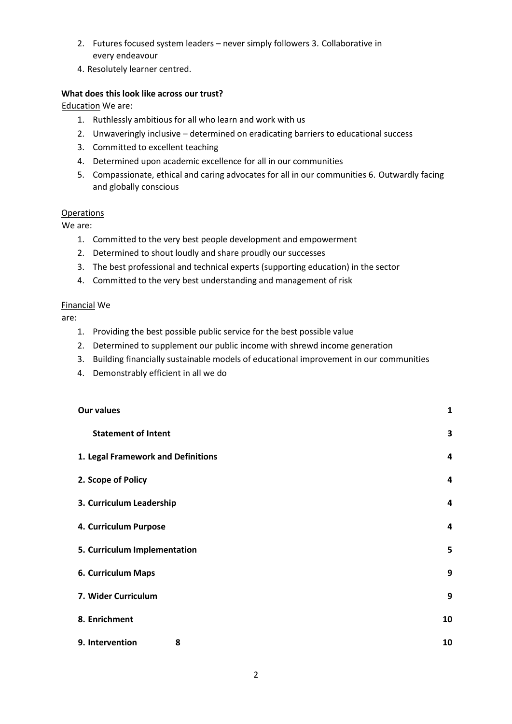- 2. Futures focused system leaders never simply followers 3. Collaborative in every endeavour
- 4. Resolutely learner centred.

#### **What does this look like across our trust?**

Education We are:

- 1. Ruthlessly ambitious for all who learn and work with us
- 2. Unwaveringly inclusive determined on eradicating barriers to educational success
- 3. Committed to excellent teaching
- 4. Determined upon academic excellence for all in our communities
- 5. Compassionate, ethical and caring advocates for all in our communities 6. Outwardly facing and globally conscious

#### **Operations**

We are:

- 1. Committed to the very best people development and empowerment
- 2. Determined to shout loudly and share proudly our successes
- 3. The best professional and technical experts (supporting education) in the sector
- 4. Committed to the very best understanding and management of risk

#### Financial We

are:

- 1. Providing the best possible public service for the best possible value
- 2. Determined to supplement our public income with shrewd income generation
- 3. Building financially sustainable models of educational improvement in our communities
- 4. Demonstrably efficient in all we do

| <b>Our values</b>                  | $\mathbf{1}$ |
|------------------------------------|--------------|
| <b>Statement of Intent</b>         | 3            |
| 1. Legal Framework and Definitions | 4            |
| 2. Scope of Policy                 | 4            |
| 3. Curriculum Leadership           | 4            |
| 4. Curriculum Purpose              | 4            |
| 5. Curriculum Implementation       | 5            |
| 6. Curriculum Maps                 | 9            |
| 7. Wider Curriculum                | 9            |
| 8. Enrichment                      | 10           |
| 9. Intervention<br>8               | 10           |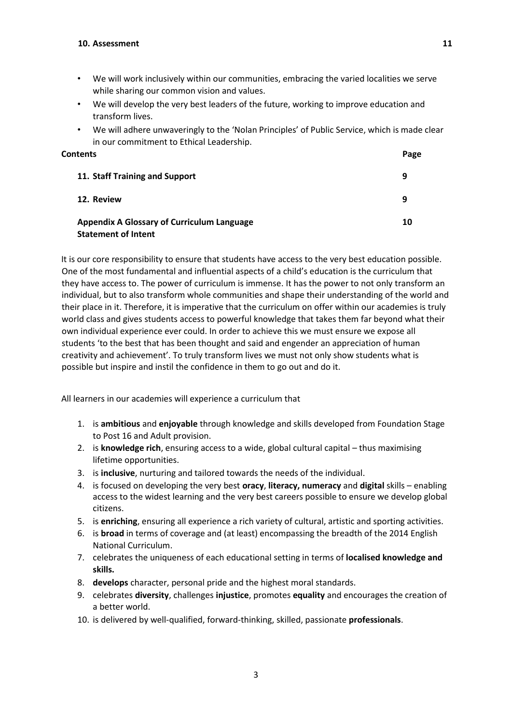- We will work inclusively within our communities, embracing the varied localities we serve while sharing our common vision and values.
- We will develop the very best leaders of the future, working to improve education and transform lives.
- We will adhere unwaveringly to the 'Nolan Principles' of Public Service, which is made clear in our commitment to Ethical Leadership.

| Contents |                                                                                 | Page |
|----------|---------------------------------------------------------------------------------|------|
|          | 11. Staff Training and Support                                                  | 9    |
|          | 12. Review                                                                      | 9    |
|          | <b>Appendix A Glossary of Curriculum Language</b><br><b>Statement of Intent</b> | 10   |

<span id="page-2-0"></span>It is our core responsibility to ensure that students have access to the very best education possible. One of the most fundamental and influential aspects of a child's education is the curriculum that they have access to. The power of curriculum is immense. It has the power to not only transform an individual, but to also transform whole communities and shape their understanding of the world and their place in it. Therefore, it is imperative that the curriculum on offer within our academies is truly world class and gives students access to powerful knowledge that takes them far beyond what their own individual experience ever could. In order to achieve this we must ensure we expose all students 'to the best that has been thought and said and engender an appreciation of human creativity and achievement'. To truly transform lives we must not only show students what is possible but inspire and instil the confidence in them to go out and do it.

All learners in our academies will experience a curriculum that

- 1. is **ambitious** and **enjoyable** through knowledge and skills developed from Foundation Stage to Post 16 and Adult provision.
- 2. is **knowledge rich**, ensuring access to a wide, global cultural capital thus maximising lifetime opportunities.
- 3. is **inclusive**, nurturing and tailored towards the needs of the individual.
- 4. is focused on developing the very best **oracy**, **literacy, numeracy** and **digital** skills enabling access to the widest learning and the very best careers possible to ensure we develop global citizens.
- 5. is **enriching**, ensuring all experience a rich variety of cultural, artistic and sporting activities.
- 6. is **broad** in terms of coverage and (at least) encompassing the breadth of the 2014 English National Curriculum.
- 7. celebrates the uniqueness of each educational setting in terms of **localised knowledge and skills.**
- 8. **develops** character, personal pride and the highest moral standards.
- 9. celebrates **diversity**, challenges **injustice**, promotes **equality** and encourages the creation of a better world.
- 10. is delivered by well-qualified, forward-thinking, skilled, passionate **professionals**.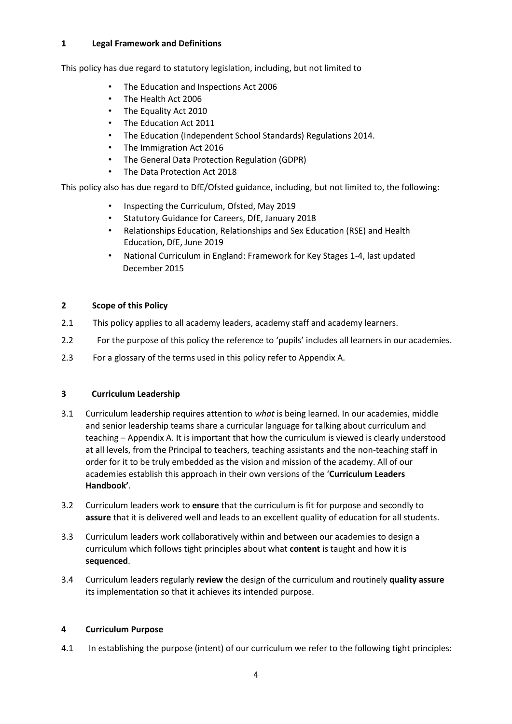# <span id="page-3-0"></span>**1 Legal Framework and Definitions**

This policy has due regard to statutory legislation, including, but not limited to

- The Education and Inspections Act 2006
- The Health Act 2006
- The Equality Act 2010
- The Education Act 2011
- The Education (Independent School Standards) Regulations 2014.
- The Immigration Act 2016
- The General Data Protection Regulation (GDPR)
- The Data Protection Act 2018

This policy also has due regard to DfE/Ofsted guidance, including, but not limited to, the following:

- Inspecting the Curriculum, Ofsted, May 2019
- Statutory Guidance for Careers, DfE, January 2018
- Relationships Education, Relationships and Sex Education (RSE) and Health Education, DfE, June 2019
- National Curriculum in England: Framework for Key Stages 1-4, last updated December 2015

# <span id="page-3-1"></span>**2 Scope of this Policy**

- 2.1 This policy applies to all academy leaders, academy staff and academy learners.
- 2.2 For the purpose of this policy the reference to 'pupils' includes all learners in our academies.
- 2.3 For a glossary of the terms used in this policy refer to Appendix A.

#### <span id="page-3-2"></span>**3 Curriculum Leadership**

- 3.1 Curriculum leadership requires attention to *what* is being learned. In our academies, middle and senior leadership teams share a curricular language for talking about curriculum and teaching – Appendix A. It is important that how the curriculum is viewed is clearly understood at all levels, from the Principal to teachers, teaching assistants and the non-teaching staff in order for it to be truly embedded as the vision and mission of the academy. All of our academies establish this approach in their own versions of the '**Curriculum Leaders Handbook'**.
- 3.2 Curriculum leaders work to **ensure** that the curriculum is fit for purpose and secondly to **assure** that it is delivered well and leads to an excellent quality of education for all students.
- 3.3 Curriculum leaders work collaboratively within and between our academies to design a curriculum which follows tight principles about what **content** is taught and how it is **sequenced**.
- 3.4 Curriculum leaders regularly **review** the design of the curriculum and routinely **quality assure** its implementation so that it achieves its intended purpose.

#### <span id="page-3-3"></span>**4 Curriculum Purpose**

4.1 In establishing the purpose (intent) of our curriculum we refer to the following tight principles: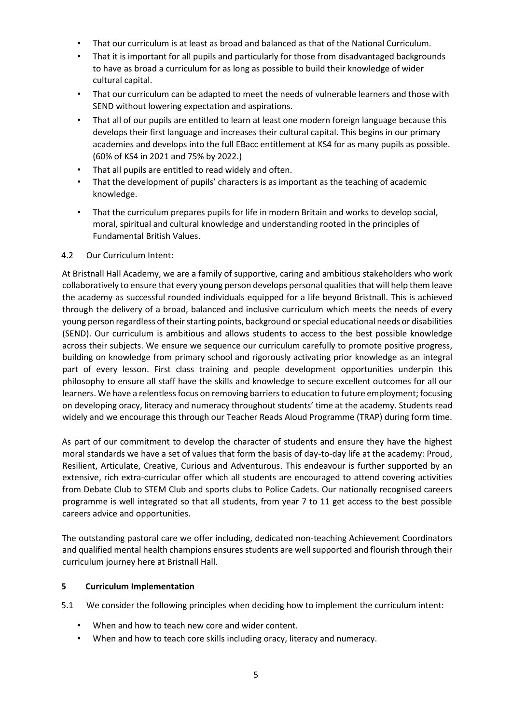- That our curriculum is at least as broad and balanced as that of the National Curriculum.
- That it is important for all pupils and particularly for those from disadvantaged backgrounds to have as broad a curriculum for as long as possible to build their knowledge of wider cultural capital.
- That our curriculum can be adapted to meet the needs of vulnerable learners and those with SEND without lowering expectation and aspirations.
- That all of our pupils are entitled to learn at least one modern foreign language because this develops their first language and increases their cultural capital. This begins in our primary academies and develops into the full EBacc entitlement at KS4 for as many pupils as possible. (60% of KS4 in 2021 and 75% by 2022.)
- That all pupils are entitled to read widely and often.
- That the development of pupils' characters is as important as the teaching of academic knowledge.
- That the curriculum prepares pupils for life in modern Britain and works to develop social, moral, spiritual and cultural knowledge and understanding rooted in the principles of Fundamental British Values.

# 4.2 Our Curriculum Intent:

<span id="page-4-0"></span>At Bristnall Hall Academy, we are a family of supportive, caring and ambitious stakeholders who work collaboratively to ensure that every young person develops personal qualities that will help them leave the academy as successful rounded individuals equipped for a life beyond Bristnall. This is achieved through the delivery of a broad, balanced and inclusive curriculum which meets the needs of every young person regardless of their starting points, background or special educational needs or disabilities (SEND). Our curriculum is ambitious and allows students to access to the best possible knowledge across their subjects. We ensure we sequence our curriculum carefully to promote positive progress, building on knowledge from primary school and rigorously activating prior knowledge as an integral part of every lesson. First class training and people development opportunities underpin this philosophy to ensure all staff have the skills and knowledge to secure excellent outcomes for all our learners. We have a relentless focus on removing barriers to education to future employment; focusing on developing oracy, literacy and numeracy throughout students' time at the academy. Students read widely and we encourage this through our Teacher Reads Aloud Programme (TRAP) during form time.

As part of our commitment to develop the character of students and ensure they have the highest moral standards we have a set of values that form the basis of day-to-day life at the academy: Proud, Resilient, Articulate, Creative, Curious and Adventurous. This endeavour is further supported by an extensive, rich extra-curricular offer which all students are encouraged to attend covering activities from Debate Club to STEM Club and sports clubs to Police Cadets. Our nationally recognised careers programme is well integrated so that all students, from year 7 to 11 get access to the best possible careers advice and opportunities.

The outstanding pastoral care we offer including, dedicated non-teaching Achievement Coordinators and qualified mental health champions ensures students are well supported and flourish through their curriculum journey here at Bristnall Hall.

# **5 Curriculum Implementation**

5.1 We consider the following principles when deciding how to implement the curriculum intent:

- When and how to teach new core and wider content.
- When and how to teach core skills including oracy, literacy and numeracy.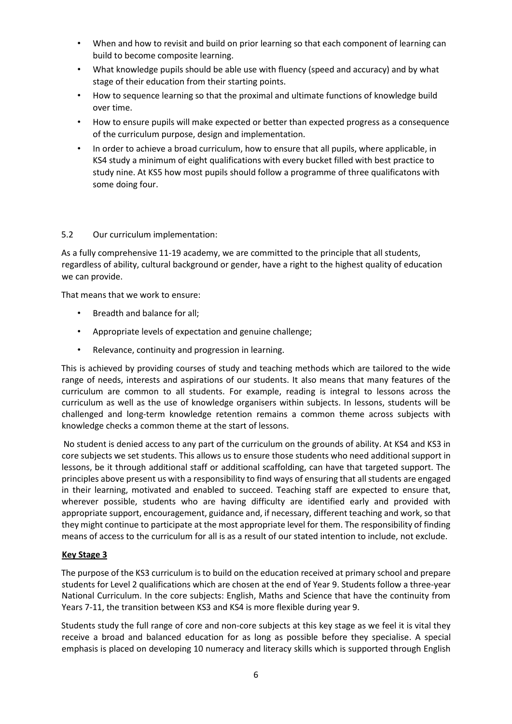- When and how to revisit and build on prior learning so that each component of learning can build to become composite learning.
- What knowledge pupils should be able use with fluency (speed and accuracy) and by what stage of their education from their starting points.
- How to sequence learning so that the proximal and ultimate functions of knowledge build over time.
- How to ensure pupils will make expected or better than expected progress as a consequence of the curriculum purpose, design and implementation.
- In order to achieve a broad curriculum, how to ensure that all pupils, where applicable, in KS4 study a minimum of eight qualifications with every bucket filled with best practice to study nine. At KS5 how most pupils should follow a programme of three qualificatons with some doing four.

# 5.2 Our curriculum implementation:

As a fully comprehensive 11-19 academy, we are committed to the principle that all students, regardless of ability, cultural background or gender, have a right to the highest quality of education we can provide.

That means that we work to ensure:

- Breadth and balance for all;
- Appropriate levels of expectation and genuine challenge;
- Relevance, continuity and progression in learning.

This is achieved by providing courses of study and teaching methods which are tailored to the wide range of needs, interests and aspirations of our students. It also means that many features of the curriculum are common to all students. For example, reading is integral to lessons across the curriculum as well as the use of knowledge organisers within subjects. In lessons, students will be challenged and long-term knowledge retention remains a common theme across subjects with knowledge checks a common theme at the start of lessons.

No student is denied access to any part of the curriculum on the grounds of ability. At KS4 and KS3 in core subjects we set students. This allows us to ensure those students who need additional support in lessons, be it through additional staff or additional scaffolding, can have that targeted support. The principles above present us with a responsibility to find ways of ensuring that all students are engaged in their learning, motivated and enabled to succeed. Teaching staff are expected to ensure that, wherever possible, students who are having difficulty are identified early and provided with appropriate support, encouragement, guidance and, if necessary, different teaching and work, so that they might continue to participate at the most appropriate level for them. The responsibility of finding means of access to the curriculum for all is as a result of our stated intention to include, not exclude.

#### **Key Stage 3**

The purpose of the KS3 curriculum is to build on the education received at primary school and prepare students for Level 2 qualifications which are chosen at the end of Year 9. Students follow a three-year National Curriculum. In the core subjects: English, Maths and Science that have the continuity from Years 7-11, the transition between KS3 and KS4 is more flexible during year 9.

Students study the full range of core and non-core subjects at this key stage as we feel it is vital they receive a broad and balanced education for as long as possible before they specialise. A special emphasis is placed on developing 10 numeracy and literacy skills which is supported through English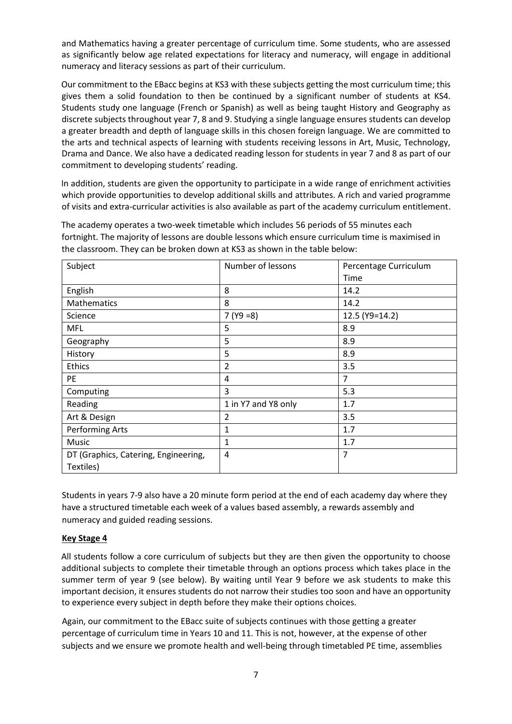and Mathematics having a greater percentage of curriculum time. Some students, who are assessed as significantly below age related expectations for literacy and numeracy, will engage in additional numeracy and literacy sessions as part of their curriculum.

Our commitment to the EBacc begins at KS3 with these subjects getting the most curriculum time; this gives them a solid foundation to then be continued by a significant number of students at KS4. Students study one language (French or Spanish) as well as being taught History and Geography as discrete subjects throughout year 7, 8 and 9. Studying a single language ensures students can develop a greater breadth and depth of language skills in this chosen foreign language. We are committed to the arts and technical aspects of learning with students receiving lessons in Art, Music, Technology, Drama and Dance. We also have a dedicated reading lesson for students in year 7 and 8 as part of our commitment to developing students' reading.

In addition, students are given the opportunity to participate in a wide range of enrichment activities which provide opportunities to develop additional skills and attributes. A rich and varied programme of visits and extra-curricular activities is also available as part of the academy curriculum entitlement.

| Subject                              | Number of lessons   | Percentage Curriculum |
|--------------------------------------|---------------------|-----------------------|
|                                      |                     | Time                  |
| English                              | 8                   | 14.2                  |
| Mathematics                          | 8                   | 14.2                  |
| Science                              | $7 (Y9 = 8)$        | 12.5 (Y9=14.2)        |
| <b>MFL</b>                           | 5                   | 8.9                   |
| Geography                            | 5                   | 8.9                   |
| History                              | 5                   | 8.9                   |
| <b>Ethics</b>                        | $\overline{2}$      | 3.5                   |
| PE                                   | 4                   | 7                     |
| Computing                            | 3                   | 5.3                   |
| Reading                              | 1 in Y7 and Y8 only | 1.7                   |
| Art & Design                         | 2                   | 3.5                   |
| <b>Performing Arts</b>               | 1                   | 1.7                   |
| Music                                | 1                   | 1.7                   |
| DT (Graphics, Catering, Engineering, | 4                   | $\overline{7}$        |
| Textiles)                            |                     |                       |

The academy operates a two-week timetable which includes 56 periods of 55 minutes each fortnight. The majority of lessons are double lessons which ensure curriculum time is maximised in the classroom. They can be broken down at KS3 as shown in the table below:

Students in years 7-9 also have a 20 minute form period at the end of each academy day where they have a structured timetable each week of a values based assembly, a rewards assembly and numeracy and guided reading sessions.

# **Key Stage 4**

All students follow a core curriculum of subjects but they are then given the opportunity to choose additional subjects to complete their timetable through an options process which takes place in the summer term of year 9 (see below). By waiting until Year 9 before we ask students to make this important decision, it ensures students do not narrow their studies too soon and have an opportunity to experience every subject in depth before they make their options choices.

Again, our commitment to the EBacc suite of subjects continues with those getting a greater percentage of curriculum time in Years 10 and 11. This is not, however, at the expense of other subjects and we ensure we promote health and well-being through timetabled PE time, assemblies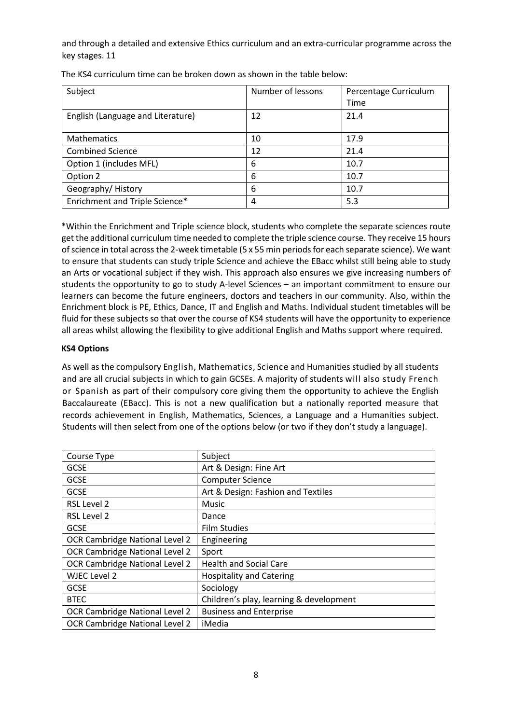and through a detailed and extensive Ethics curriculum and an extra-curricular programme across the key stages. 11

| Subject                           | Number of lessons | Percentage Curriculum |
|-----------------------------------|-------------------|-----------------------|
|                                   |                   | Time                  |
| English (Language and Literature) | 12                | 21.4                  |
|                                   |                   |                       |
| <b>Mathematics</b>                | 10                | 17.9                  |
| <b>Combined Science</b>           | 12                | 21.4                  |
| Option 1 (includes MFL)           | 6                 | 10.7                  |
| Option 2                          | 6                 | 10.7                  |
| Geography/History                 | 6                 | 10.7                  |
| Enrichment and Triple Science*    | 4                 | 5.3                   |

The KS4 curriculum time can be broken down as shown in the table below:

\*Within the Enrichment and Triple science block, students who complete the separate sciences route get the additional curriculum time needed to complete the triple science course. They receive 15 hours of science in total across the 2-week timetable (5 x 55 min periods for each separate science). We want to ensure that students can study triple Science and achieve the EBacc whilst still being able to study an Arts or vocational subject if they wish. This approach also ensures we give increasing numbers of students the opportunity to go to study A-level Sciences – an important commitment to ensure our learners can become the future engineers, doctors and teachers in our community. Also, within the Enrichment block is PE, Ethics, Dance, IT and English and Maths. Individual student timetables will be fluid for these subjects so that over the course of KS4 students will have the opportunity to experience all areas whilst allowing the flexibility to give additional English and Maths support where required.

# **KS4 Options**

As well as the compulsory English, Mathematics, Science and Humanities studied by all students and are all crucial subjects in which to gain GCSEs. A majority of students will also study French or Spanish as part of their compulsory core giving them the opportunity to achieve the English Baccalaureate (EBacc). This is not a new qualification but a nationally reported measure that records achievement in English, Mathematics, Sciences, a Language and a Humanities subject. Students will then select from one of the options below (or two if they don't study a language).

| Course Type                           | Subject                                 |
|---------------------------------------|-----------------------------------------|
| <b>GCSE</b>                           | Art & Design: Fine Art                  |
| <b>GCSE</b>                           | <b>Computer Science</b>                 |
| <b>GCSE</b>                           | Art & Design: Fashion and Textiles      |
| RSL Level 2                           | <b>Music</b>                            |
| RSL Level 2                           | Dance                                   |
| <b>GCSE</b>                           | <b>Film Studies</b>                     |
| OCR Cambridge National Level 2        | Engineering                             |
| <b>OCR Cambridge National Level 2</b> | Sport                                   |
| OCR Cambridge National Level 2        | <b>Health and Social Care</b>           |
| WJEC Level 2                          | <b>Hospitality and Catering</b>         |
| <b>GCSE</b>                           | Sociology                               |
| <b>BTEC</b>                           | Children's play, learning & development |
| OCR Cambridge National Level 2        | <b>Business and Enterprise</b>          |
| OCR Cambridge National Level 2        | iMedia                                  |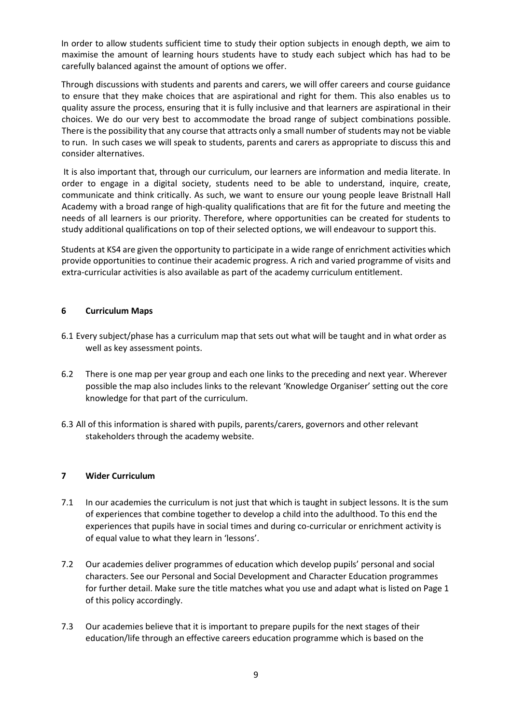In order to allow students sufficient time to study their option subjects in enough depth, we aim to maximise the amount of learning hours students have to study each subject which has had to be carefully balanced against the amount of options we offer.

Through discussions with students and parents and carers, we will offer careers and course guidance to ensure that they make choices that are aspirational and right for them. This also enables us to quality assure the process, ensuring that it is fully inclusive and that learners are aspirational in their choices. We do our very best to accommodate the broad range of subject combinations possible. There is the possibility that any course that attracts only a small number of students may not be viable to run. In such cases we will speak to students, parents and carers as appropriate to discuss this and consider alternatives.

It is also important that, through our curriculum, our learners are information and media literate. In order to engage in a digital society, students need to be able to understand, inquire, create, communicate and think critically. As such, we want to ensure our young people leave Bristnall Hall Academy with a broad range of high-quality qualifications that are fit for the future and meeting the needs of all learners is our priority. Therefore, where opportunities can be created for students to study additional qualifications on top of their selected options, we will endeavour to support this.

Students at KS4 are given the opportunity to participate in a wide range of enrichment activities which provide opportunities to continue their academic progress. A rich and varied programme of visits and extra-curricular activities is also available as part of the academy curriculum entitlement.

# <span id="page-8-0"></span>**6 Curriculum Maps**

- 6.1 Every subject/phase has a curriculum map that sets out what will be taught and in what order as well as key assessment points.
- 6.2 There is one map per year group and each one links to the preceding and next year. Wherever possible the map also includes links to the relevant 'Knowledge Organiser' setting out the core knowledge for that part of the curriculum.
- 6.3 All of this information is shared with pupils, parents/carers, governors and other relevant stakeholders through the academy website.

#### <span id="page-8-1"></span>**7 Wider Curriculum**

- 7.1 In our academies the curriculum is not just that which is taught in subject lessons. It is the sum of experiences that combine together to develop a child into the adulthood. To this end the experiences that pupils have in social times and during co-curricular or enrichment activity is of equal value to what they learn in 'lessons'.
- 7.2 Our academies deliver programmes of education which develop pupils' personal and social characters. See our Personal and Social Development and Character Education programmes for further detail. Make sure the title matches what you use and adapt what is listed on Page 1 of this policy accordingly.
- 7.3 Our academies believe that it is important to prepare pupils for the next stages of their education/life through an effective careers education programme which is based on the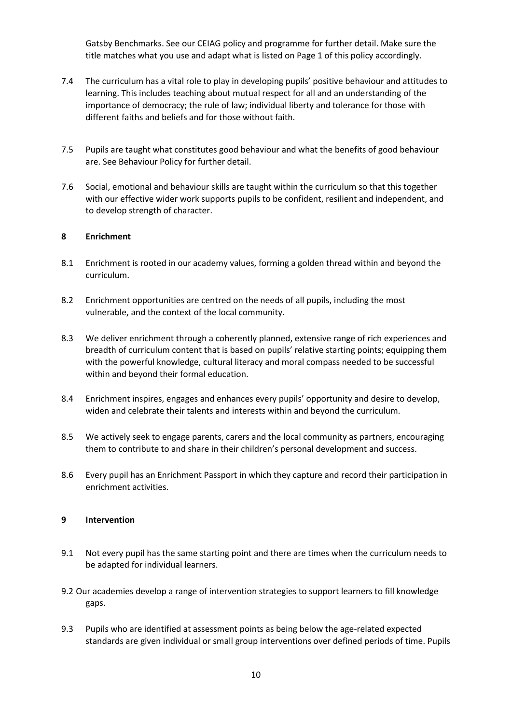Gatsby Benchmarks. See our CEIAG policy and programme for further detail. Make sure the title matches what you use and adapt what is listed on Page 1 of this policy accordingly.

- 7.4 The curriculum has a vital role to play in developing pupils' positive behaviour and attitudes to learning. This includes teaching about mutual respect for all and an understanding of the importance of democracy; the rule of law; individual liberty and tolerance for those with different faiths and beliefs and for those without faith.
- 7.5 Pupils are taught what constitutes good behaviour and what the benefits of good behaviour are. See Behaviour Policy for further detail.
- 7.6 Social, emotional and behaviour skills are taught within the curriculum so that this together with our effective wider work supports pupils to be confident, resilient and independent, and to develop strength of character.

#### <span id="page-9-0"></span>**8 Enrichment**

- 8.1 Enrichment is rooted in our academy values, forming a golden thread within and beyond the curriculum.
- 8.2 Enrichment opportunities are centred on the needs of all pupils, including the most vulnerable, and the context of the local community.
- 8.3 We deliver enrichment through a coherently planned, extensive range of rich experiences and breadth of curriculum content that is based on pupils' relative starting points; equipping them with the powerful knowledge, cultural literacy and moral compass needed to be successful within and beyond their formal education.
- 8.4 Enrichment inspires, engages and enhances every pupils' opportunity and desire to develop, widen and celebrate their talents and interests within and beyond the curriculum.
- 8.5 We actively seek to engage parents, carers and the local community as partners, encouraging them to contribute to and share in their children's personal development and success.
- 8.6 Every pupil has an Enrichment Passport in which they capture and record their participation in enrichment activities.

#### <span id="page-9-1"></span>**9 Intervention**

- 9.1 Not every pupil has the same starting point and there are times when the curriculum needs to be adapted for individual learners.
- 9.2 Our academies develop a range of intervention strategies to support learners to fill knowledge gaps.
- 9.3 Pupils who are identified at assessment points as being below the age-related expected standards are given individual or small group interventions over defined periods of time. Pupils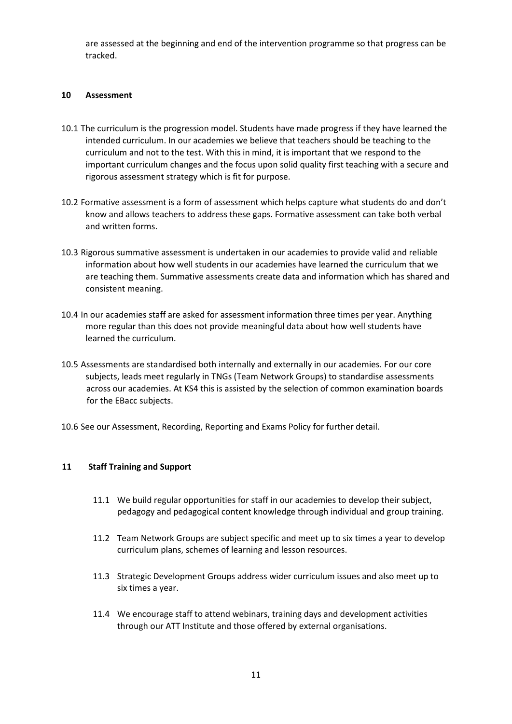are assessed at the beginning and end of the intervention programme so that progress can be tracked.

#### <span id="page-10-0"></span>**10 Assessment**

- 10.1 The curriculum is the progression model. Students have made progress if they have learned the intended curriculum. In our academies we believe that teachers should be teaching to the curriculum and not to the test. With this in mind, it is important that we respond to the important curriculum changes and the focus upon solid quality first teaching with a secure and rigorous assessment strategy which is fit for purpose.
- 10.2 Formative assessment is a form of assessment which helps capture what students do and don't know and allows teachers to address these gaps. Formative assessment can take both verbal and written forms.
- 10.3 Rigorous summative assessment is undertaken in our academies to provide valid and reliable information about how well students in our academies have learned the curriculum that we are teaching them. Summative assessments create data and information which has shared and consistent meaning.
- 10.4 In our academies staff are asked for assessment information three times per year. Anything more regular than this does not provide meaningful data about how well students have learned the curriculum.
- 10.5 Assessments are standardised both internally and externally in our academies. For our core subjects, leads meet regularly in TNGs (Team Network Groups) to standardise assessments across our academies. At KS4 this is assisted by the selection of common examination boards for the EBacc subjects.
- 10.6 See our Assessment, Recording, Reporting and Exams Policy for further detail.

# **11 Staff Training and Support**

- 11.1 We build regular opportunities for staff in our academies to develop their subject, pedagogy and pedagogical content knowledge through individual and group training.
- 11.2 Team Network Groups are subject specific and meet up to six times a year to develop curriculum plans, schemes of learning and lesson resources.
- 11.3 Strategic Development Groups address wider curriculum issues and also meet up to six times a year.
- 11.4 We encourage staff to attend webinars, training days and development activities through our ATT Institute and those offered by external organisations.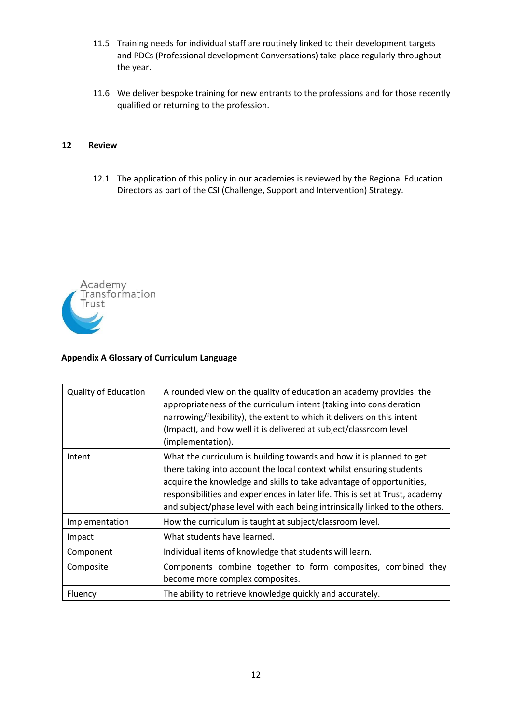- 11.5 Training needs for individual staff are routinely linked to their development targets and PDCs (Professional development Conversations) take place regularly throughout the year.
- 11.6 We deliver bespoke training for new entrants to the professions and for those recently qualified or returning to the profession.

#### **12 Review**

12.1 The application of this policy in our academies is reviewed by the Regional Education Directors as part of the CSI (Challenge, Support and Intervention) Strategy.



# **Appendix A Glossary of Curriculum Language**

| <b>Quality of Education</b> | A rounded view on the quality of education an academy provides: the<br>appropriateness of the curriculum intent (taking into consideration<br>narrowing/flexibility), the extent to which it delivers on this intent<br>(Impact), and how well it is delivered at subject/classroom level<br>(implementation).                                                                       |
|-----------------------------|--------------------------------------------------------------------------------------------------------------------------------------------------------------------------------------------------------------------------------------------------------------------------------------------------------------------------------------------------------------------------------------|
| Intent                      | What the curriculum is building towards and how it is planned to get<br>there taking into account the local context whilst ensuring students<br>acquire the knowledge and skills to take advantage of opportunities,<br>responsibilities and experiences in later life. This is set at Trust, academy<br>and subject/phase level with each being intrinsically linked to the others. |
| Implementation              | How the curriculum is taught at subject/classroom level.                                                                                                                                                                                                                                                                                                                             |
| Impact                      | What students have learned.                                                                                                                                                                                                                                                                                                                                                          |
| Component                   | Individual items of knowledge that students will learn.                                                                                                                                                                                                                                                                                                                              |
| Composite                   | Components combine together to form composites, combined they<br>become more complex composites.                                                                                                                                                                                                                                                                                     |
| Fluency                     | The ability to retrieve knowledge quickly and accurately.                                                                                                                                                                                                                                                                                                                            |